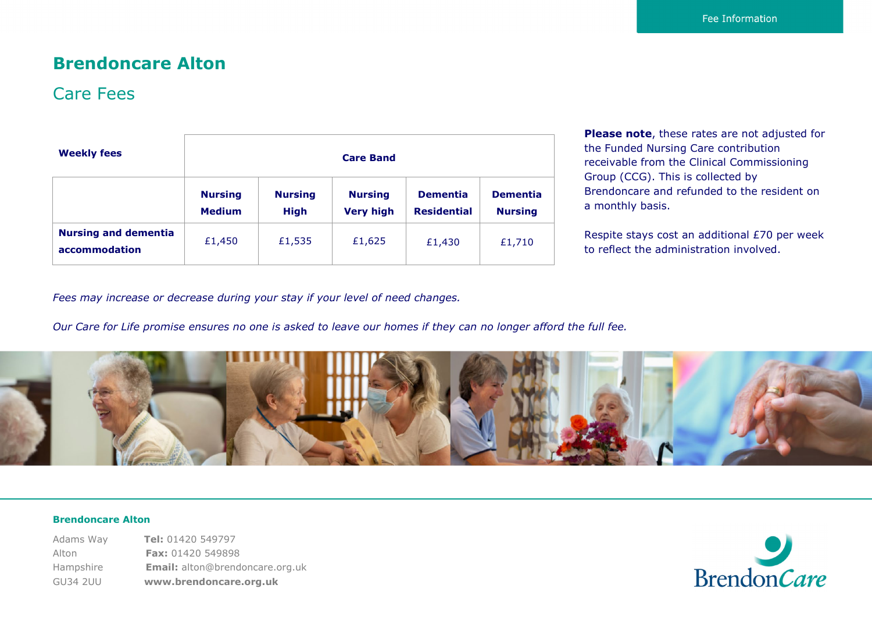### **Brendoncare Alton**

### Care Fees

| <b>Weekly fees</b>                           | <b>Care Band</b>                |                               |                                    |                                       |                                   |
|----------------------------------------------|---------------------------------|-------------------------------|------------------------------------|---------------------------------------|-----------------------------------|
|                                              | <b>Nursing</b><br><b>Medium</b> | <b>Nursing</b><br><b>High</b> | <b>Nursing</b><br><b>Very high</b> | <b>Dementia</b><br><b>Residential</b> | <b>Dementia</b><br><b>Nursing</b> |
| <b>Nursing and dementia</b><br>accommodation | £1,450                          | £1,535                        | £1,625                             | £1,430                                | £1,710                            |

**Please note**, these rates are not adjusted for the Funded Nursing Care contribution receivable from the Clinical Commissioning Group (CCG). This is collected by Brendoncare and refunded to the resident on a monthly basis.

Respite stays cost an additional £70 per week to reflect the administration involved.

*Fees may increase or decrease during your stay if your level of need changes.*

*Our Care for Life promise ensures no one is asked to leave our homes if they can no longer afford the full fee.*



#### **Brendoncare Alton**

Adams Way **Tel:** 01420 549797 Alton **Fax:** 01420 549898 Hampshire **Email:** alton@brendoncare.org.uk GU34 2UU **www.brendoncare.org.uk**